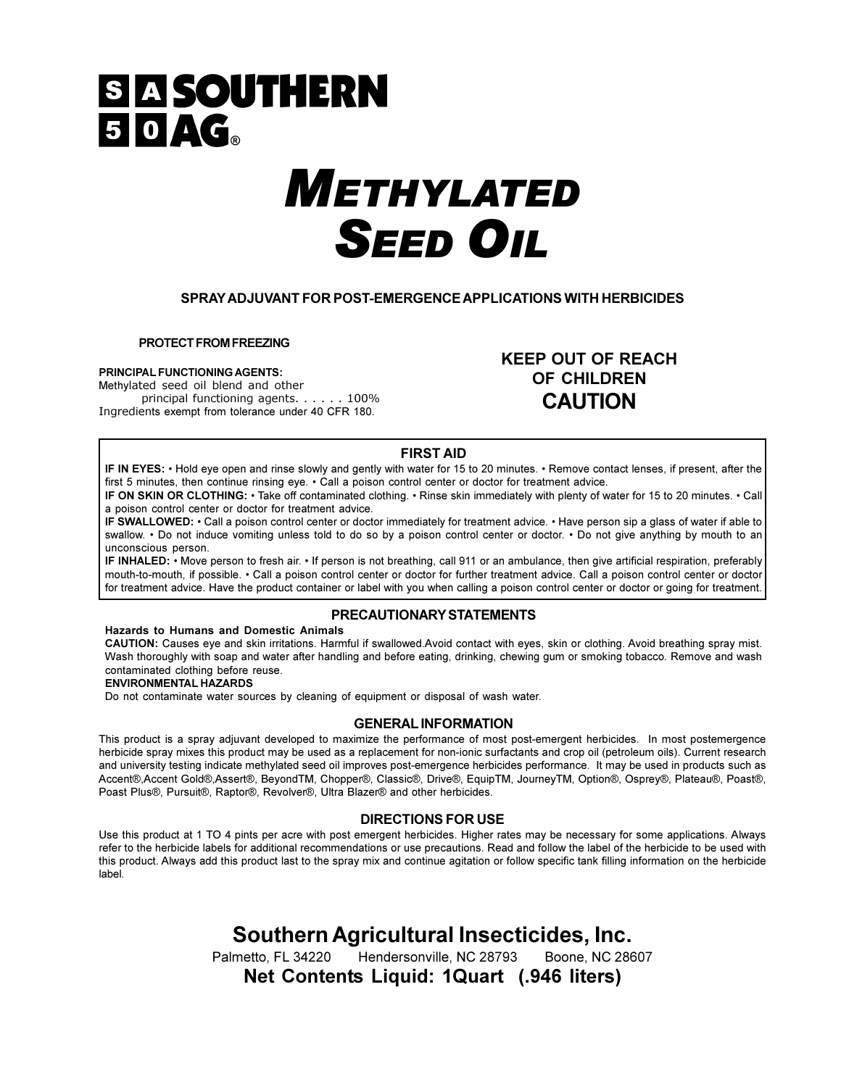## **SI A SOUTHERN** 50AG.

# **METHYLATED SEED OIL**

#### SPRAY ADJUVANT FOR POST-EMERGENCE APPLICATIONS WITH HERBICIDES

PROTECT FROM FREEZING

#### PRINCIPAL FUNCTIONING AGENTS:

Methylated seed oil blend and other principal functioning agents. . . . . . 100% Ingredients exempt from tolerance under 40 CFR 180.

**KEEP OUT OF REACH OF CHILDREN CAUTION** 

#### **FIRST AID**

IF IN EYES: • Hold eye open and rinse slowly and gently with water for 15 to 20 minutes. • Remove contact lenses, if present, after the first 5 minutes, then continue rinsing eye. • Call a poison control center or doctor for treatment advice.

IF ON SKIN OR CLOTHING: • Take off contaminated clothing. • Rinse skin immediately with plenty of water for 15 to 20 minutes. • Call a poison control center or doctor for treatment advice.

IF SWALLOWED: • Call a poison control center or doctor immediately for treatment advice. • Have person sip a glass of water if able to swallow. • Do not induce vomiting unless told to do so by a poison control center or doctor. • Do not give anything by mouth to an unconscious person

IF INHALED: • Move person to fresh air. • If person is not breathing, call 911 or an ambulance, then give artificial respiration, preferably mouth-to-mouth, if possible. • Call a poison control center or doctor for further treatment advice. Call a poison control center or doctor for treatment advice. Have the product container or label with you when calling a poison control center or doctor or going for treatment.

#### PRECAUTIONARY STATEMENTS

#### Hazards to Humans and Domestic Animals

CAUTION: Causes eye and skin irritations. Harmful if swallowed Avoid contact with eyes, skin or clothing. Avoid breathing spray mist. Wash thoroughly with soap and water after handling and before eating, drinking, chewing gum or smoking tobacco. Remove and wash contaminated clothing before reuse.

#### **ENVIRONMENTAL HAZARDS**

Do not contaminate water sources by cleaning of equipment or disposal of wash water.

#### **GENERAL INFORMATION**

This product is a spray adjuvant developed to maximize the performance of most post-emergent herbicides. In most postemergence herbicide spray mixes this product may be used as a replacement for non-ionic surfactants and crop oil (petroleum oils). Current research and university testing indicate methylated seed oil improves post-emergence herbicides performance. It may be used in products such as Accent®,Accent Gold®,Assert®, BeyondTM, Chopper®, Classic®, Drive®, EquipTM, JourneyTM, Option®, Osprey®, Plateau®, Poast®, Poast Plus®, Pursuit®, Raptor®, Revolver®, Ultra Blazer® and other herbicides.

#### **DIRECTIONS FOR USE**

Use this product at 1 TO 4 pints per acre with post emergent herbicides. Higher rates may be necessary for some applications. Always refer to the herbicide labels for additional recommendations or use precautions. Read and follow the label of the herbicide to be used with this product. Always add this product last to the spray mix and continue agitation or follow specific tank filling information on the herbicide label.

### Southern Agricultural Insecticides, Inc.

Hendersonville, NC 28793 Palmetto, FL 34220 Boone, NC 28607 Net Contents Liquid: 1Quart (.946 liters)